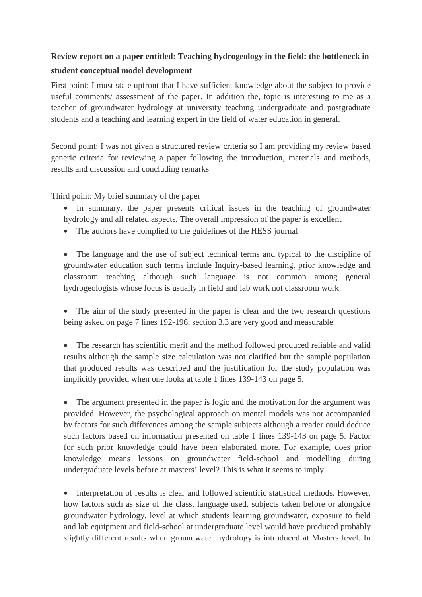## **Review report on a paper entitled: Teaching hydrogeology in the field: the bottleneck in student conceptual model development**

First point: I must state upfront that I have sufficient knowledge about the subject to provide useful comments/ assessment of the paper. In addition the, topic is interesting to me as a teacher of groundwater hydrology at university teaching undergraduate and postgraduate students and a teaching and learning expert in the field of water education in general.

Second point: I was not given a structured review criteria so I am providing my review based generic criteria for reviewing a paper following the introduction, materials and methods, results and discussion and concluding remarks

Third point: My brief summary of the paper

- In summary, the paper presents critical issues in the teaching of groundwater hydrology and all related aspects. The overall impression of the paper is excellent
- The authors have complied to the guidelines of the HESS journal

 The language and the use of subject technical terms and typical to the discipline of groundwater education such terms include Inquiry-based learning, prior knowledge and classroom teaching although such language is not common among general hydrogeologists whose focus is usually in field and lab work not classroom work.

• The aim of the study presented in the paper is clear and the two research questions being asked on page 7 lines 192-196, section 3.3 are very good and measurable.

• The research has scientific merit and the method followed produced reliable and valid results although the sample size calculation was not clarified but the sample population that produced results was described and the justification for the study population was implicitly provided when one looks at table 1 lines 139-143 on page 5.

• The argument presented in the paper is logic and the motivation for the argument was provided. However, the psychological approach on mental models was not accompanied by factors for such differences among the sample subjects although a reader could deduce such factors based on information presented on table 1 lines 139-143 on page 5. Factor for such prior knowledge could have been elaborated more. For example, does prior knowledge means lessons on groundwater field-school and modelling during undergraduate levels before at masters' level? This is what it seems to imply.

• Interpretation of results is clear and followed scientific statistical methods. However, how factors such as size of the class, language used, subjects taken before or alongside groundwater hydrology, level at which students learning groundwater, exposure to field and lab equipment and field-school at undergraduate level would have produced probably slightly different results when groundwater hydrology is introduced at Masters level. In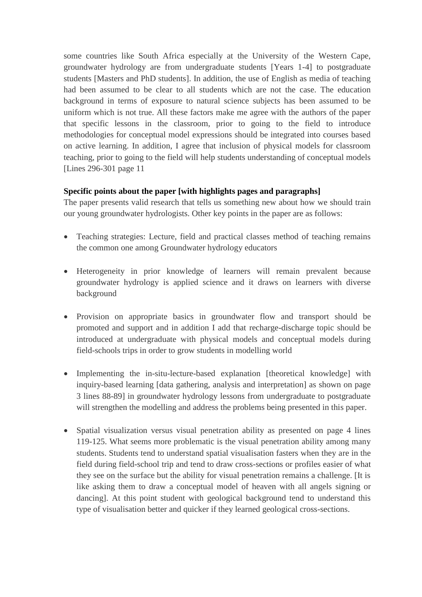some countries like South Africa especially at the University of the Western Cape, groundwater hydrology are from undergraduate students [Years 1-4] to postgraduate students [Masters and PhD students]. In addition, the use of English as media of teaching had been assumed to be clear to all students which are not the case. The education background in terms of exposure to natural science subjects has been assumed to be uniform which is not true. All these factors make me agree with the authors of the paper that specific lessons in the classroom, prior to going to the field to introduce methodologies for conceptual model expressions should be integrated into courses based on active learning. In addition, I agree that inclusion of physical models for classroom teaching, prior to going to the field will help students understanding of conceptual models [Lines 296-301 page 11

## **Specific points about the paper [with highlights pages and paragraphs]**

The paper presents valid research that tells us something new about how we should train our young groundwater hydrologists. Other key points in the paper are as follows:

- Teaching strategies: Lecture, field and practical classes method of teaching remains the common one among Groundwater hydrology educators
- Heterogeneity in prior knowledge of learners will remain prevalent because groundwater hydrology is applied science and it draws on learners with diverse background
- Provision on appropriate basics in groundwater flow and transport should be promoted and support and in addition I add that recharge-discharge topic should be introduced at undergraduate with physical models and conceptual models during field-schools trips in order to grow students in modelling world
- Implementing the in-situ-lecture-based explanation [theoretical knowledge] with inquiry-based learning [data gathering, analysis and interpretation] as shown on page 3 lines 88-89] in groundwater hydrology lessons from undergraduate to postgraduate will strengthen the modelling and address the problems being presented in this paper.
- Spatial visualization versus visual penetration ability as presented on page 4 lines 119-125. What seems more problematic is the visual penetration ability among many students. Students tend to understand spatial visualisation fasters when they are in the field during field-school trip and tend to draw cross-sections or profiles easier of what they see on the surface but the ability for visual penetration remains a challenge. [It is like asking them to draw a conceptual model of heaven with all angels signing or dancing]. At this point student with geological background tend to understand this type of visualisation better and quicker if they learned geological cross-sections.